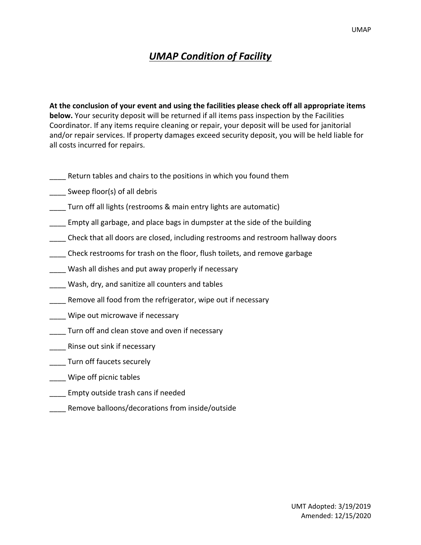## *UMAP Condition of Facility*

**At the conclusion of your event and using the facilities please check off all appropriate items below.** Your security deposit will be returned if all items pass inspection by the Facilities Coordinator. If any items require cleaning or repair, your deposit will be used for janitorial and/or repair services. If property damages exceed security deposit, you will be held liable for all costs incurred for repairs.

- Return tables and chairs to the positions in which you found them
- Sweep floor(s) of all debris
- Turn off all lights (restrooms & main entry lights are automatic)
- \_\_\_\_ Empty all garbage, and place bags in dumpster at the side of the building
- \_\_\_\_ Check that all doors are closed, including restrooms and restroom hallway doors
- \_\_\_\_ Check restrooms for trash on the floor, flush toilets, and remove garbage
- Wash all dishes and put away properly if necessary
- \_\_\_\_ Wash, dry, and sanitize all counters and tables
- Remove all food from the refrigerator, wipe out if necessary
- \_\_\_\_ Wipe out microwave if necessary
- Turn off and clean stove and oven if necessary
- \_\_\_\_ Rinse out sink if necessary
- \_\_\_\_ Turn off faucets securely
- \_\_\_\_ Wipe off picnic tables
- \_\_\_\_ Empty outside trash cans if needed
- \_\_\_\_ Remove balloons/decorations from inside/outside